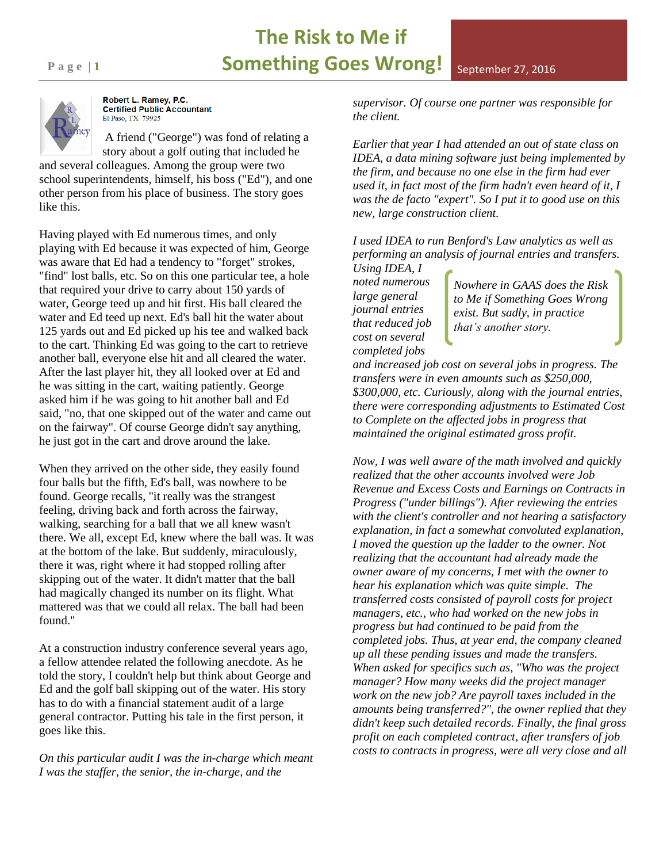## **The Risk to Me if Page 11 Something Goes Wrong!** September 27, 2016



Robert L. Ramey, P.C. **Certified Public Accountant** El Paso, TX 79925

A friend ("George") was fond of relating a story about a golf outing that included he and several colleagues. Among the group were two

school superintendents, himself, his boss ("Ed"), and one other person from his place of business. The story goes like this.

Having played with Ed numerous times, and only playing with Ed because it was expected of him, George was aware that Ed had a tendency to "forget" strokes, "find" lost balls, etc. So on this one particular tee, a hole that required your drive to carry about 150 yards of water, George teed up and hit first. His ball cleared the water and Ed teed up next. Ed's ball hit the water about 125 yards out and Ed picked up his tee and walked back to the cart. Thinking Ed was going to the cart to retrieve another ball, everyone else hit and all cleared the water. After the last player hit, they all looked over at Ed and he was sitting in the cart, waiting patiently. George asked him if he was going to hit another ball and Ed said, "no, that one skipped out of the water and came out on the fairway". Of course George didn't say anything, he just got in the cart and drove around the lake.

When they arrived on the other side, they easily found four balls but the fifth, Ed's ball, was nowhere to be found. George recalls, "it really was the strangest feeling, driving back and forth across the fairway, walking, searching for a ball that we all knew wasn't there. We all, except Ed, knew where the ball was. It was at the bottom of the lake. But suddenly, miraculously, there it was, right where it had stopped rolling after skipping out of the water. It didn't matter that the ball had magically changed its number on its flight. What mattered was that we could all relax. The ball had been found."

At a construction industry conference several years ago, a fellow attendee related the following anecdote. As he told the story, I couldn't help but think about George and Ed and the golf ball skipping out of the water. His story has to do with a financial statement audit of a large general contractor. Putting his tale in the first person, it goes like this.

*On this particular audit I was the in-charge which meant I was the staffer, the senior, the in-charge, and the* 

*supervisor. Of course one partner was responsible for the client.* 

*Earlier that year I had attended an out of state class on IDEA, a data mining software just being implemented by the firm, and because no one else in the firm had ever used it, in fact most of the firm hadn't even heard of it, I was the de facto "expert". So I put it to good use on this new, large construction client.*

*I used IDEA to run Benford's Law analytics as well as performing an analysis of journal entries and transfers. Using IDEA, I* 

*noted numerous large general journal entries that reduced job cost on several completed jobs* 

*Nowhere in GAAS does the Risk to Me if Something Goes Wrong exist. But sadly, in practice that's another story.*

*and increased job cost on several jobs in progress. The transfers were in even amounts such as \$250,000, \$300,000, etc. Curiously, along with the journal entries, there were corresponding adjustments to Estimated Cost to Complete on the affected jobs in progress that maintained the original estimated gross profit.* 

*Now, I was well aware of the math involved and quickly realized that the other accounts involved were Job Revenue and Excess Costs and Earnings on Contracts in Progress ("under billings"). After reviewing the entries with the client's controller and not hearing a satisfactory explanation, in fact a somewhat convoluted explanation, I moved the question up the ladder to the owner. Not realizing that the accountant had already made the owner aware of my concerns, I met with the owner to hear his explanation which was quite simple. The transferred costs consisted of payroll costs for project managers, etc., who had worked on the new jobs in progress but had continued to be paid from the completed jobs. Thus, at year end, the company cleaned up all these pending issues and made the transfers. When asked for specifics such as, "Who was the project manager? How many weeks did the project manager work on the new job? Are payroll taxes included in the amounts being transferred?", the owner replied that they didn't keep such detailed records. Finally, the final gross profit on each completed contract, after transfers of job costs to contracts in progress, were all very close and all*